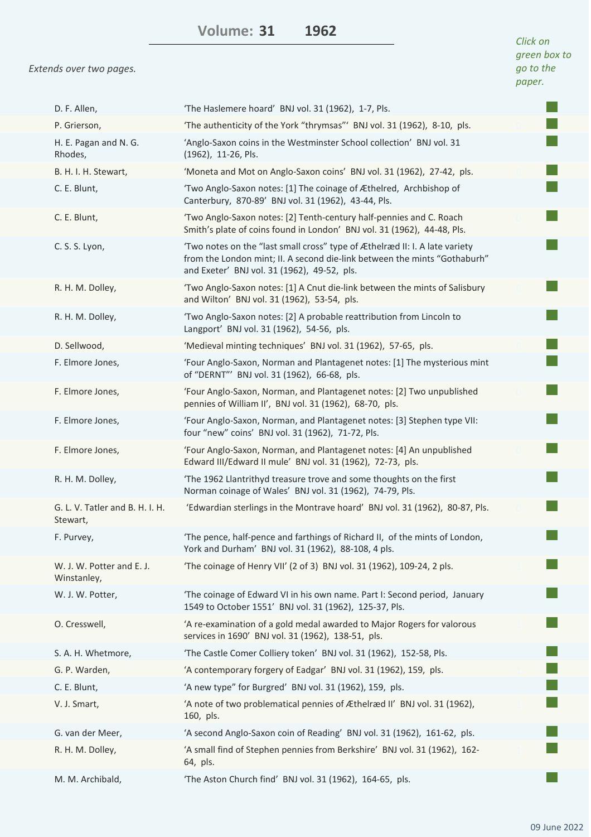**1962 Volume: 31**

*Extends over two pages.*

| D. F. Allen,                                | 'The Haslemere hoard' BNJ vol. 31 (1962), 1-7, Pls.                                                                                                                                                     |  |
|---------------------------------------------|---------------------------------------------------------------------------------------------------------------------------------------------------------------------------------------------------------|--|
| P. Grierson,                                | 'The authenticity of the York "thrymsas"' BNJ vol. 31 (1962), 8-10, pls.                                                                                                                                |  |
| H. E. Pagan and N. G.<br>Rhodes,            | 'Anglo-Saxon coins in the Westminster School collection' BNJ vol. 31<br>(1962), 11-26, Pls.                                                                                                             |  |
| B. H. I. H. Stewart,                        | 'Moneta and Mot on Anglo-Saxon coins' BNJ vol. 31 (1962), 27-42, pls.                                                                                                                                   |  |
| C. E. Blunt,                                | 'Two Anglo-Saxon notes: [1] The coinage of Æthelred, Archbishop of<br>Canterbury, 870-89' BNJ vol. 31 (1962), 43-44, Pls.                                                                               |  |
| C. E. Blunt,                                | 'Two Anglo-Saxon notes: [2] Tenth-century half-pennies and C. Roach<br>Smith's plate of coins found in London' BNJ vol. 31 (1962), 44-48, Pls.                                                          |  |
| C. S. S. Lyon,                              | 'Two notes on the "last small cross" type of Æthelræd II: I. A late variety<br>from the London mint; II. A second die-link between the mints "Gothaburh"<br>and Exeter' BNJ vol. 31 (1962), 49-52, pls. |  |
| R. H. M. Dolley,                            | 'Two Anglo-Saxon notes: [1] A Cnut die-link between the mints of Salisbury<br>and Wilton' BNJ vol. 31 (1962), 53-54, pls.                                                                               |  |
| R. H. M. Dolley,                            | 'Two Anglo-Saxon notes: [2] A probable reattribution from Lincoln to<br>Langport' BNJ vol. 31 (1962), 54-56, pls.                                                                                       |  |
| D. Sellwood,                                | 'Medieval minting techniques' BNJ vol. 31 (1962), 57-65, pls.                                                                                                                                           |  |
| F. Elmore Jones,                            | 'Four Anglo-Saxon, Norman and Plantagenet notes: [1] The mysterious mint<br>of "DERNT"' BNJ vol. 31 (1962), 66-68, pls.                                                                                 |  |
| F. Elmore Jones,                            | 'Four Anglo-Saxon, Norman, and Plantagenet notes: [2] Two unpublished<br>pennies of William II', BNJ vol. 31 (1962), 68-70, pls.                                                                        |  |
| F. Elmore Jones,                            | 'Four Anglo-Saxon, Norman, and Plantagenet notes: [3] Stephen type VII:<br>four "new" coins' BNJ vol. 31 (1962), 71-72, Pls.                                                                            |  |
| F. Elmore Jones,                            | 'Four Anglo-Saxon, Norman, and Plantagenet notes: [4] An unpublished<br>Edward III/Edward II mule' BNJ vol. 31 (1962), 72-73, pls.                                                                      |  |
| R. H. M. Dolley,                            | 'The 1962 Llantrithyd treasure trove and some thoughts on the first<br>Norman coinage of Wales' BNJ vol. 31 (1962), 74-79, Pls.                                                                         |  |
| G. L. V. Tatler and B. H. I. H.<br>Stewart, | 'Edwardian sterlings in the Montrave hoard' BNJ vol. 31 (1962), 80-87, Pls.                                                                                                                             |  |
| F. Purvey,                                  | 'The pence, half-pence and farthings of Richard II, of the mints of London,<br>York and Durham' BNJ vol. 31 (1962), 88-108, 4 pls.                                                                      |  |
| W. J. W. Potter and E. J.<br>Winstanley,    | 'The coinage of Henry VII' (2 of 3) BNJ vol. 31 (1962), 109-24, 2 pls.                                                                                                                                  |  |
| W. J. W. Potter,                            | 'The coinage of Edward VI in his own name. Part I: Second period, January<br>1549 to October 1551' BNJ vol. 31 (1962), 125-37, Pls.                                                                     |  |
| O. Cresswell,                               | 'A re-examination of a gold medal awarded to Major Rogers for valorous<br>services in 1690' BNJ vol. 31 (1962), 138-51, pls.                                                                            |  |
| S. A. H. Whetmore,                          | 'The Castle Comer Colliery token' BNJ vol. 31 (1962), 152-58, Pls.                                                                                                                                      |  |
| G. P. Warden,                               | 'A contemporary forgery of Eadgar' BNJ vol. 31 (1962), 159, pls.                                                                                                                                        |  |
| C. E. Blunt,                                | 'A new type" for Burgred' BNJ vol. 31 (1962), 159, pls.                                                                                                                                                 |  |
| V. J. Smart,                                | 'A note of two problematical pennies of Æthelræd II' BNJ vol. 31 (1962),<br>160, pls.                                                                                                                   |  |
| G. van der Meer,                            | 'A second Anglo-Saxon coin of Reading' BNJ vol. 31 (1962), 161-62, pls.                                                                                                                                 |  |
| R. H. M. Dolley,                            | 'A small find of Stephen pennies from Berkshire' BNJ vol. 31 (1962), 162-<br>64, pls.                                                                                                                   |  |
| M. M. Archibald,                            | 'The Aston Church find' BNJ vol. 31 (1962), 164-65, pls.                                                                                                                                                |  |